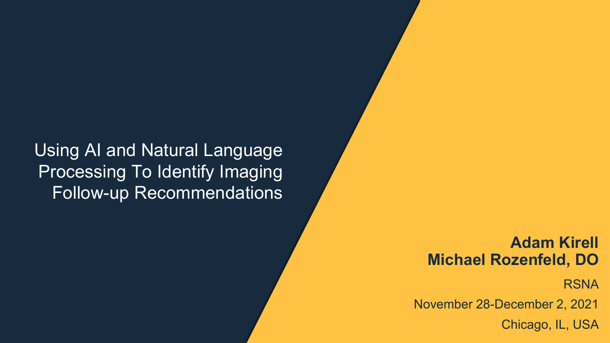#### Using AI and Natural Language Processing To Identify Imaging Follow-up Recommendations

#### **Adam Kirell Michael Rozenfeld, DO**

**RSNA** 

November 28-December 2, 2021

Chicago, IL, USA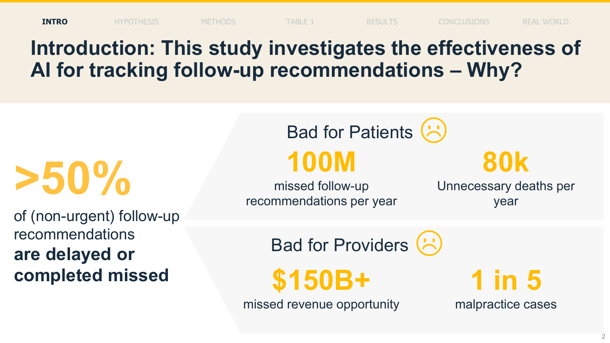### **Introduction: This study investigates the effectiveness of AI for tracking follow-up recommendations – Why?**

**>50%**

of (non-urgent) follow-up recommendations **are delayed or completed missed**

Bad for Patients **100M**

missed follow-up recommendations per year **80k**

Unnecessary deaths per year

Bad for Providers (S

**\$150B+**

missed revenue opportunity

**1 in 5** malpractice cases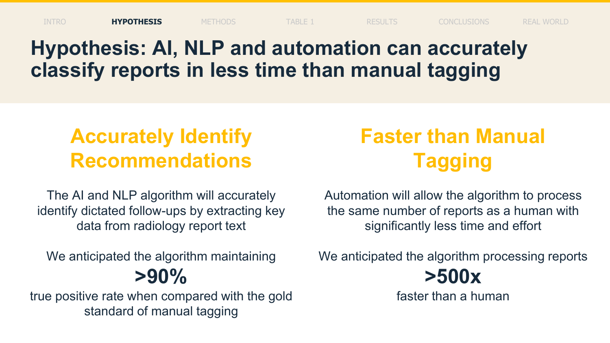INTRO **HYPOTHESIS** METHODS TABLE 1 RESULTS CONCLUSIONS REAL WORLD

### **Hypothesis: AI, NLP and automation can accurately classify reports in less time than manual tagging**

### **Accurately Identify Recommendations**

The AI and NLP algorithm will accurately identify dictated follow-ups by extracting key data from radiology report text

We anticipated the algorithm maintaining **>90%** 

true positive rate when compared with the gold standard of manual tagging

## **Faster than Manual Tagging**

Automation will allow the algorithm to process the same number of reports as a human with significantly less time and effort

We anticipated the algorithm processing reports



faster than a human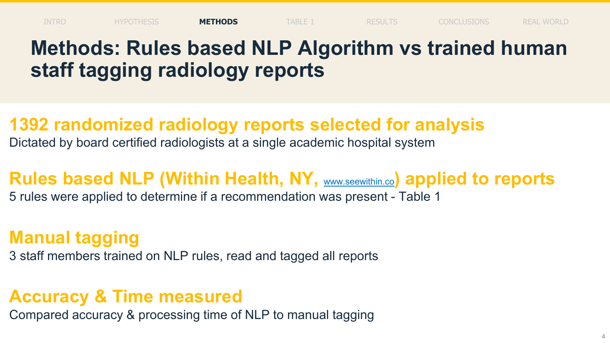### **Methods: Rules based NLP Algorithm vs trained human staff tagging radiology reports**

#### **1392 randomized radiology reports selected for analysis**

Dictated by board certified radiologists at a single academic hospital system

### **Rules based NLP (Within Health, NY, WWW.Seewithin.co) applied to reports**

5 rules were applied to determine if a recommendation was present - Table 1

#### **Manual tagging**

3 staff members trained on NLP rules, read and tagged all reports

#### **Accuracy & Time measured**

Compared accuracy & processing time of NLP to manual tagging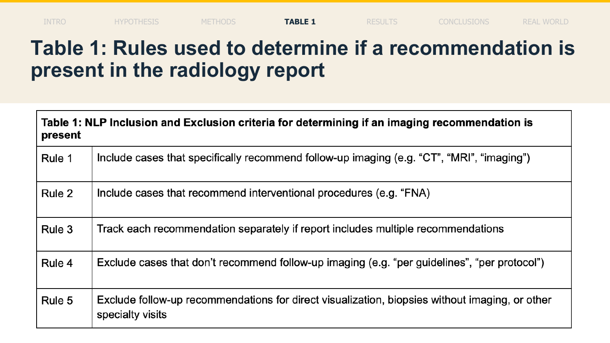### **Table 1: Rules used to determine if a recommendation is present in the radiology report**

| Table 1: NLP Inclusion and Exclusion criteria for determining if an imaging recommendation is<br>present |                                                                                                                    |  |
|----------------------------------------------------------------------------------------------------------|--------------------------------------------------------------------------------------------------------------------|--|
| Rule 1                                                                                                   | Include cases that specifically recommend follow-up imaging (e.g. "CT", "MRI", "imaging")                          |  |
| Rule 2                                                                                                   | Include cases that recommend interventional procedures (e.g. "FNA)                                                 |  |
| Rule 3                                                                                                   | Track each recommendation separately if report includes multiple recommendations                                   |  |
| Rule 4                                                                                                   | Exclude cases that don't recommend follow-up imaging (e.g. "per guidelines", "per protocol")                       |  |
| Rule 5                                                                                                   | Exclude follow-up recommendations for direct visualization, biopsies without imaging, or other<br>specialty visits |  |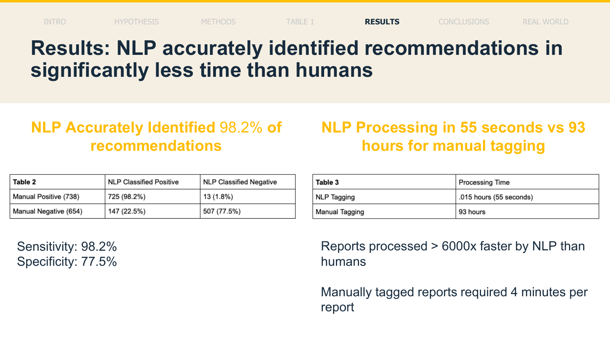### **Results: NLP accurately identified recommendations in significantly less time than humans**

#### **NLP Accurately Identified** 98.2% **of recommendations**

| Table 2               | <b>NLP Classified Positive</b> | NLP Classified Negative |
|-----------------------|--------------------------------|-------------------------|
| Manual Positive (738) | 725 (98.2%)                    | 13 (1.8%)               |
| Manual Negative (654) | 147 (22.5%)                    | 507 (77.5%)             |

Sensitivity: 98.2% Specificity: 77.5%

#### **NLP Processing in 55 seconds vs 93 hours for manual tagging**

| Table 3        | Processing Time         |  |
|----------------|-------------------------|--|
| NLP Tagging    | .015 hours (55 seconds) |  |
| Manual Tagging | 93 hours                |  |

Reports processed > 6000x faster by NLP than humans

Manually tagged reports required 4 minutes per report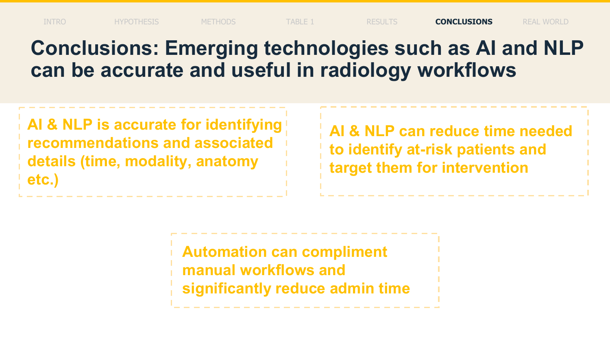### **Conclusions: Emerging technologies such as AI and NLP can be accurate and useful in radiology workflows**

**AI & NLP is accurate for identifying recommendations and associated details (time, modality, anatomy etc.)**

**AI & NLP can reduce time needed to identify at-risk patients and target them for intervention**

**Automation can compliment manual workflows and significantly reduce admin time**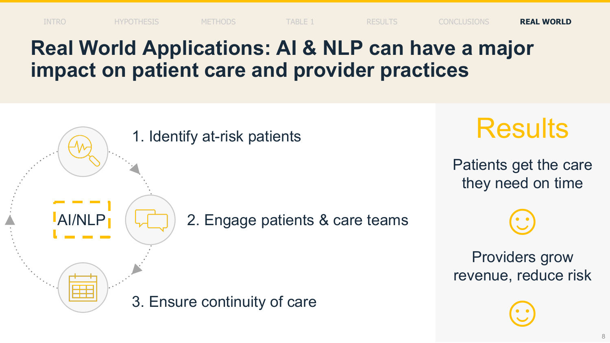### **Real World Applications: AI & NLP can have a major impact on patient care and provider practices**

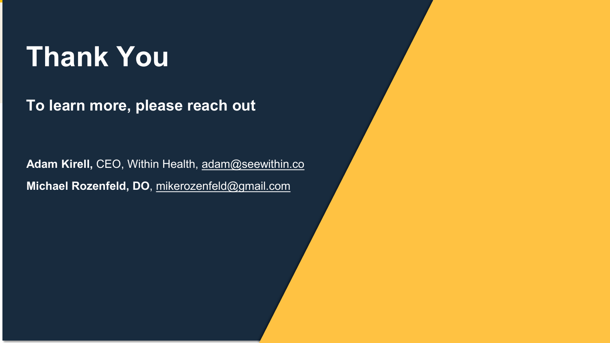# **Thank You**

**To learn more, please reach out**

Adam Kirell, CEO, Within Health, [adam@seewithin.co](mailto:adam@seewithin.co) **Michael Rozenfeld, DO**, [mikerozenfeld@gmail.com](mailto:mikerozenfeld@gmail.com)